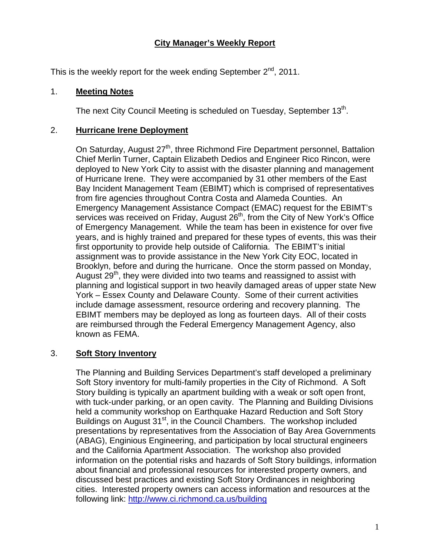# **City Manager's Weekly Report**

This is the weekly report for the week ending September  $2^{nd}$ , 2011.

## 1. **Meeting Notes**

The next City Council Meeting is scheduled on Tuesday, September  $13<sup>th</sup>$ .

# 2. **Hurricane Irene Deployment**

On Saturday, August 27<sup>th</sup>, three Richmond Fire Department personnel, Battalion Chief Merlin Turner, Captain Elizabeth Dedios and Engineer Rico Rincon, were deployed to New York City to assist with the disaster planning and management of Hurricane Irene. They were accompanied by 31 other members of the East Bay Incident Management Team (EBIMT) which is comprised of representatives from fire agencies throughout Contra Costa and Alameda Counties. An Emergency Management Assistance Compact (EMAC) request for the EBIMT's services was received on Friday, August 26<sup>th</sup>, from the City of New York's Office of Emergency Management. While the team has been in existence for over five years, and is highly trained and prepared for these types of events, this was their first opportunity to provide help outside of California. The EBIMT's initial assignment was to provide assistance in the New York City EOC, located in Brooklyn, before and during the hurricane. Once the storm passed on Monday, August 29<sup>th</sup>, they were divided into two teams and reassigned to assist with planning and logistical support in two heavily damaged areas of upper state New York – Essex County and Delaware County. Some of their current activities include damage assessment, resource ordering and recovery planning. The EBIMT members may be deployed as long as fourteen days. All of their costs are reimbursed through the Federal Emergency Management Agency, also known as FEMA.

# 3. **Soft Story Inventory**

The Planning and Building Services Department's staff developed a preliminary Soft Story inventory for multi-family properties in the City of Richmond. A Soft Story building is typically an apartment building with a weak or soft open front, with tuck-under parking, or an open cavity. The Planning and Building Divisions held a community workshop on Earthquake Hazard Reduction and Soft Story Buildings on August 31<sup>st</sup>, in the Council Chambers. The workshop included presentations by representatives from the Association of Bay Area Governments (ABAG), Enginious Engineering, and participation by local structural engineers and the California Apartment Association. The workshop also provided information on the potential risks and hazards of Soft Story buildings, information about financial and professional resources for interested property owners, and discussed best practices and existing Soft Story Ordinances in neighboring cities. Interested property owners can access information and resources at the following link: <http://www.ci.richmond.ca.us/building>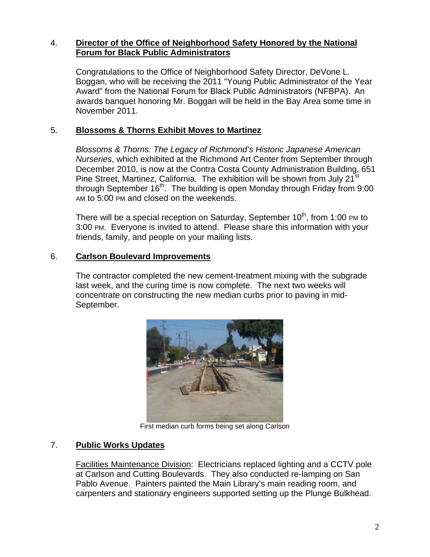## 4. **Director of the Office of Neighborhood Safety Honored by the National Forum for Black Public Administrators**

Congratulations to the Office of Neighborhood Safety Director, DeVone L. Boggan, who will be receiving the 2011 "Young Public Administrator of the Year Award" from the National Forum for Black Public Administrators (NFBPA). An awards banquet honoring Mr. Boggan will be held in the Bay Area some time in November 2011.

## 5. **Blossoms & Thorns Exhibit Moves to Martinez**

*Blossoms & Thorns: The Legacy of Richmond's Historic Japanese American Nurseries*, which exhibited at the Richmond Art Center from September through December 2010, is now at the Contra Costa County Administration Building, 651 Pine Street, Martinez, California. The exhibition will be shown from July 21<sup>st</sup> through September  $16<sup>th</sup>$ . The building is open Monday through Friday from 9:00 AM to 5:00 PM and closed on the weekends.

There will be a special reception on Saturday, September  $10<sup>th</sup>$ , from 1:00 PM to 3:00 PM. Everyone is invited to attend. Please share this information with your friends, family, and people on your mailing lists.

### 6. **Carlson Boulevard Improvements**

The contractor completed the new cement-treatment mixing with the subgrade last week, and the curing time is now complete. The next two weeks will concentrate on constructing the new median curbs prior to paving in mid-September.



First median curb forms being set along Carlson

### 7. **Public Works Updates**

Facilities Maintenance Division: Electricians replaced lighting and a CCTV pole at Carlson and Cutting Boulevards. They also conducted re-lamping on San Pablo Avenue. Painters painted the Main Library's main reading room, and carpenters and stationary engineers supported setting up the Plunge Bulkhead.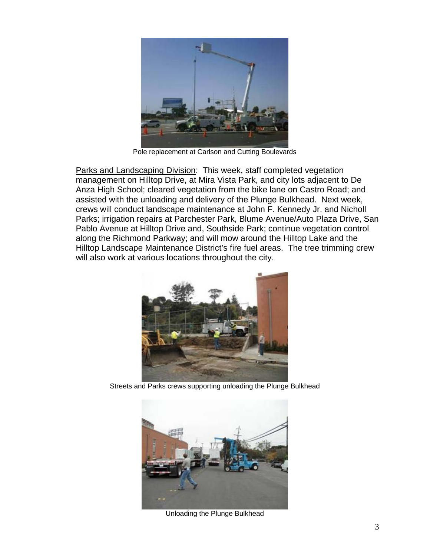

Pole replacement at Carlson and Cutting Boulevards

Parks and Landscaping Division: This week, staff completed vegetation management on Hilltop Drive, at Mira Vista Park, and city lots adjacent to De Anza High School; cleared vegetation from the bike lane on Castro Road; and assisted with the unloading and delivery of the Plunge Bulkhead. Next week, crews will conduct landscape maintenance at John F. Kennedy Jr. and Nicholl Parks; irrigation repairs at Parchester Park, Blume Avenue/Auto Plaza Drive, San Pablo Avenue at Hilltop Drive and, Southside Park; continue vegetation control along the Richmond Parkway; and will mow around the Hilltop Lake and the Hilltop Landscape Maintenance District's fire fuel areas. The tree trimming crew will also work at various locations throughout the city.



Streets and Parks crews supporting unloading the Plunge Bulkhead



Unloading the Plunge Bulkhead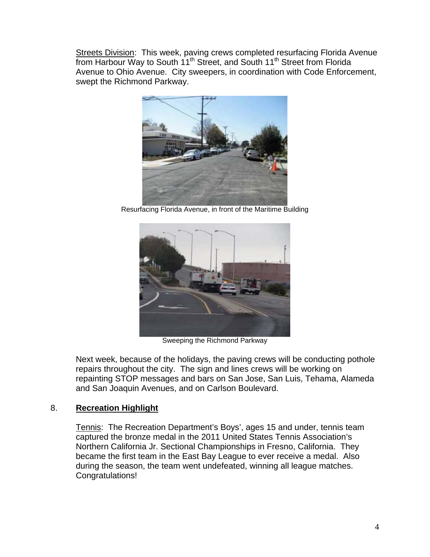Streets Division: This week, paving crews completed resurfacing Florida Avenue from Harbour Way to South 11<sup>th</sup> Street, and South 11<sup>th</sup> Street from Florida Avenue to Ohio Avenue. City sweepers, in coordination with Code Enforcement, swept the Richmond Parkway.



Resurfacing Florida Avenue, in front of the Maritime Building



Sweeping the Richmond Parkway

Next week, because of the holidays, the paving crews will be conducting pothole repairs throughout the city. The sign and lines crews will be working on repainting STOP messages and bars on San Jose, San Luis, Tehama, Alameda and San Joaquin Avenues, and on Carlson Boulevard.

### 8. **Recreation Highlight**

Tennis: The Recreation Department's Boys', ages 15 and under, tennis team captured the bronze medal in the 2011 United States Tennis Association's Northern California Jr. Sectional Championships in Fresno, California. They became the first team in the East Bay League to ever receive a medal. Also during the season, the team went undefeated, winning all league matches. Congratulations!